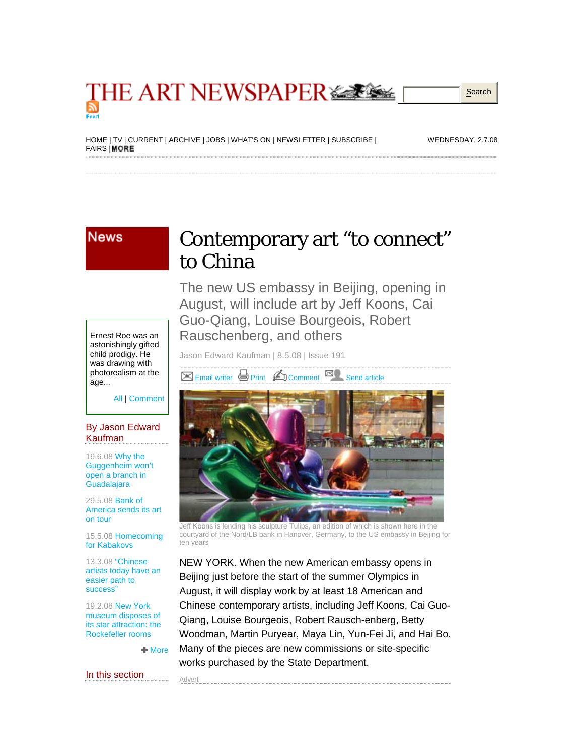### **THE ART NEWSPAPER SERIES Search**

[HOME](http://www.theartnewspaper.com/) | [TV](http://www.theartnewspaper.tv/) | [CURRENT](http://www.theartnewspaper.com/current) | [ARCHIVE](http://liathach.televisual.co.uk/access/artnewspaper.html) | [JOBS](http://www.theartnewspaper.com/jobs) | [WHAT'S ON](http://www.theartnewspaper.com/whatson) | NEWSLETTER | [SUBSCRIBE](http://www.theartnewspaper.com/subscribe) | **[FAIRS](http://www.theartnewspaper.com/fairs) | MORE** 

WEDNESDAY, 2.7.08

#### **News**

## Contemporary art "to connect" to China

The new US embassy in Beijing, opening in August, will include art by Jeff Koons, Cai Guo-Qiang, Louise Bourgeois, Robert Rauschenberg, and others

Jason Edward Kaufman | 8.5.08 | Issue 191

Email writer **B** [Print](http://www.theartnewspaper.com/includes/common/print.asp?id=7842) **C**D [Comment](http://www.theartnewspaper.com/commentadd.asp?id=7842) **E**C [Send article](http://www.theartnewspaper.com/includes/common/sendarticle.asp?id=7842)



Jeff Koons is lending his sculpture Tulips, an edition of which is shown here in the courtyard of the Nord/LB bank in Hanover, Germany, to the US embassy in Beijing for ten years

NEW YORK. When the new American embassy opens in Beijing just before the start of the summer Olympics in August, it will display work by at least 18 American and Chinese contemporary artists, including Jeff Koons, Cai Guo-Qiang, Louise Bourgeois, Robert Rausch-enberg, Betty Woodman, Martin Puryear, Maya Lin, Yun-Fei Ji, and Hai Bo. Many of the pieces are new commissions or site-specific works purchased by the State Department.

Ernest Roe was an astonishingly gifted child prodigy. He was drawing with photorealism at the age...

All | [Comment](http://www.theartnewspaper.com/commentadd.asp?id=7842)

#### By Jason Edward Kaufman

19.6.08 [Why the](http://www.theartnewspaper.com/article.asp?id=8018)  [Guggenheim won't](http://www.theartnewspaper.com/article.asp?id=8018)  [open a branch in](http://www.theartnewspaper.com/article.asp?id=8018)  **[Guadalajara](http://www.theartnewspaper.com/article.asp?id=8018)** 

29.5.08 [Bank of](http://www.theartnewspaper.com/article.asp?id=7866) [America sends its art](http://www.theartnewspaper.com/article.asp?id=7866)  [on tour](http://www.theartnewspaper.com/article.asp?id=7866)

15.5.08 [Homecoming](http://www.theartnewspaper.com/article.asp?id=7948)  [for Kabakovs](http://www.theartnewspaper.com/article.asp?id=7948) 

13.3.08 ["Chinese](http://www.theartnewspaper.com/article.asp?id=7648)  [artists today have an](http://www.theartnewspaper.com/article.asp?id=7648)  [easier path to](http://www.theartnewspaper.com/article.asp?id=7648)  [success"](http://www.theartnewspaper.com/article.asp?id=7648) 

19.2.08 [New York](http://www.theartnewspaper.com/article.asp?id=7565) [museum disposes of](http://www.theartnewspaper.com/article.asp?id=7565)  [its star attraction: the](http://www.theartnewspaper.com/article.asp?id=7565)  [Rockefeller rooms](http://www.theartnewspaper.com/article.asp?id=7565)

 $More$ 

Advert

In this section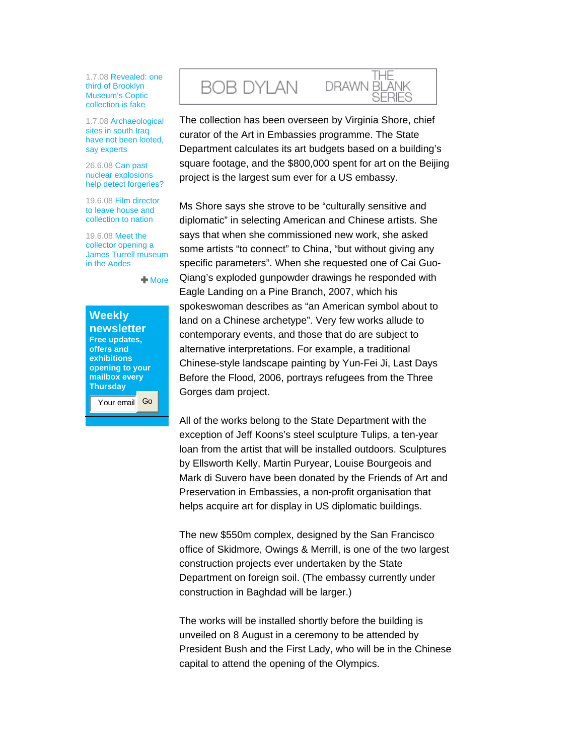1.7.08 [Revealed: one](http://www.theartnewspaper.com/article.asp?id=8061)  [third of Brooklyn](http://www.theartnewspaper.com/article.asp?id=8061)  [Museum's Coptic](http://www.theartnewspaper.com/article.asp?id=8061)  [collection is fake](http://www.theartnewspaper.com/article.asp?id=8061)

1.7.08 [Archaeological](http://www.theartnewspaper.com/article.asp?id=8066)  sites in south Iraq [have not been looted,](http://www.theartnewspaper.com/article.asp?id=8066)  [say experts](http://www.theartnewspaper.com/article.asp?id=8066)

26.6.08 [Can past](http://www.theartnewspaper.com/article.asp?id=7971)  [nuclear explosions](http://www.theartnewspaper.com/article.asp?id=7971)  [help detect forgeries?](http://www.theartnewspaper.com/article.asp?id=7971) 

19.6.08 [Film director](http://www.theartnewspaper.com/article.asp?id=7974)  [to leave house and](http://www.theartnewspaper.com/article.asp?id=7974)  [collection to nation](http://www.theartnewspaper.com/article.asp?id=7974)

19.6.08 [Meet the](http://www.theartnewspaper.com/article.asp?id=7970)  [collector opening a](http://www.theartnewspaper.com/article.asp?id=7970)  [James Turrell museum](http://www.theartnewspaper.com/article.asp?id=7970)  [in the Andes](http://www.theartnewspaper.com/article.asp?id=7970)

More

| <b>Weekly</b>   |  |
|-----------------|--|
| newsletter      |  |
| Free updates,   |  |
| offers and      |  |
| exhibitions     |  |
| opening to your |  |
| mailbox every   |  |
| <b>Thursday</b> |  |
| Your email      |  |

# **BOB DYLAN**

The collection has been overseen by Virginia Shore, chief curator of the Art in Embassies programme. The State Department calculates its art budgets based on a building's square footage, and the \$800,000 spent for art on the Beijing project is the largest sum ever for a US embassy.

THE

SERIES

DRAWN BLANK

Ms Shore says she strove to be "culturally sensitive and diplomatic" in selecting American and Chinese artists. She says that when she commissioned new work, she asked some artists "to connect" to China, "but without giving any specific parameters". When she requested one of Cai Guo-Qiang's exploded gunpowder drawings he responded with Eagle Landing on a Pine Branch, 2007, which his spokeswoman describes as "an American symbol about to land on a Chinese archetype". Very few works allude to contemporary events, and those that do are subject to alternative interpretations. For example, a traditional Chinese-style landscape painting by Yun-Fei Ji, Last Days Before the Flood, 2006, portrays refugees from the Three Gorges dam project.

All of the works belong to the State Department with the exception of Jeff Koons's steel sculpture Tulips, a ten-year loan from the artist that will be installed outdoors. Sculptures by Ellsworth Kelly, Martin Puryear, Louise Bourgeois and Mark di Suvero have been donated by the Friends of Art and Preservation in Embassies, a non-profit organisation that helps acquire art for display in US diplomatic buildings.

The new \$550m complex, designed by the San Francisco office of Skidmore, Owings & Merrill, is one of the two largest construction projects ever undertaken by the State Department on foreign soil. (The embassy currently under construction in Baghdad will be larger.)

The works will be installed shortly before the building is unveiled on 8 August in a ceremony to be attended by President Bush and the First Lady, who will be in the Chinese capital to attend the opening of the Olympics.